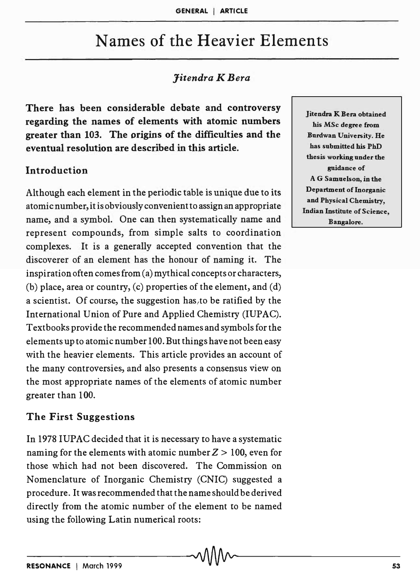# Names of the Heavier Elements

## *Jitendra K Bera*

There has been considerable debate and controversy regarding the names of elements with atomic numbers greater than 103. The origins of the difficulties and the eventual resolution are described in this article.

#### Introduction

Although each element in the periodic table is unique due to its atomic number, it is obviously convenient to assign an appropriate name, and a symbol. One can then systematically name and represent compounds, from simple salts to coordination complexes. It is a generally accepted convention that the discoverer of an element has the honour of naming it. The inspiration often comes from (a) mythical concepts or characters, (b) place, area or country, (c) properties of the element, and (d) a scientist. Of course, the suggestion has to be ratified by the International Union of Pure and Applied Chemistry (lUPAC). Textbooks provide the recommended names and symbols for the elements up to atomic number 100. But things have not been easy with the heavier elements. This article provides an account of the many controversies, and also presents a consensus view on the most appropriate names of the elements of atomic number greater than 100.

#### The First Suggestions

In 1978 IUPAC decided that it is necessary to have a systematic naming for the elements with atomic number  $Z > 100$ , even for those which had not been discovered. The Commission on Nomenclature of Inorganic Chemistry (CNIC) suggested a procedure. It was recommended that the name should be derived directly from the atomic number of the element to be named using the following Latin numerical roots:

Jitendra K Bera obtained his MSc degree from Burdwan University. He has submitted his PhD thesis working under the guidance of A G Samuelson, in the Department of Inorganic and Physical Chemistry, Indian Institute of Science, Bangalore.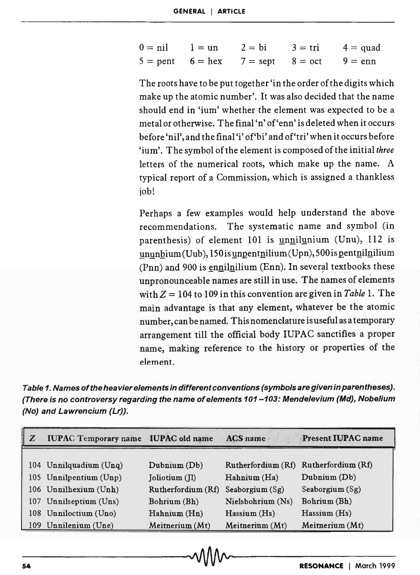| $0 = nil$ $1 = un$ $2 = bi$ |                                                     | $3 = \text{tri}$ 4 = quad |
|-----------------------------|-----------------------------------------------------|---------------------------|
|                             | $5 =$ pent $6 =$ hex $7 =$ sept $8 =$ oct $9 =$ enn |                           |

The roots have to be put together 'in the order of the digits which make up the atomic number'. It was also decided that the name should end in 'ium' whether the element was expected to be a metal or otherwise. The final 'n' of'enn' is deleted when it occurs before 'nil', and the final 'i' of'bi' and of'tri' when it occurs before 'ium'. The symbol of the element is composed of the initial *three*  letters of the numerical roots, which make up the name. A typical report of a Commission, which is assigned a thankless job!

Perhaps a few examples would help understand the above recommendations. The systematic name and symbol (in parenthesis) of element 101 is unnilunium (Unu),  $112$  is  $ununbium(Uub)$ , 150 is unpentnilium (Upn), 500 is pentnilnilium  $(Pnn)$  and 900 is ennilnilium (Enn). In several textbooks these unpronounceable names are still in use. The names of elements with  $Z = 104$  to 109 in this convention are given in *Table* 1. The main advantage is that any element, whatever be the atomic number, can be named. This nomenclature is useful as a temporary arrangement till the official body IUPAC sanctifies a proper name, making reference to the history or properties of the element.

Table 1. Names of the hea vier elements in different conventions (symbols are given in parentheses). (There is no controversy regarding the name of elements 101-103: Mendelevium (Md), Nobelium (No) and Lawrencium (Lr)).

| Z | <b>IUPAC Temporary name IUPAC old name</b> |                    | <b>ACS</b> name   | <b>Present IUPAC name</b>             |
|---|--------------------------------------------|--------------------|-------------------|---------------------------------------|
|   |                                            |                    |                   |                                       |
|   | 104 Unnilquadium (Unq)                     | Dubrium (Db)       |                   | Rutherfordium (Rf) Rutherfordium (Rf) |
|   | 105 Unnilpentium (Unp)                     | Joliotium (II)     | Hahnium (Ha)      | Dubrium (Db)                          |
|   | 106 Unnilhexium (Unh)                      | Rutherfordium (Rf) | Seaborgium (Sg)   | Seaborgium $(Sg)$                     |
|   | 107 Unnilseptium (Uns)                     | Bohrium (Bh)       | Nielsbohrium (Ns) | Bohrium (Bh)                          |
|   | 108 Unniloctium (Uno)                      | Hahnium (Hn)       | $H$ assium $(Hs)$ | Hassium (Hs)                          |
|   | 109 Unnilenium (Une)                       | Meitnerium (Mt)    | Meitnerium (Mt)   | Meitnerium (Mt)                       |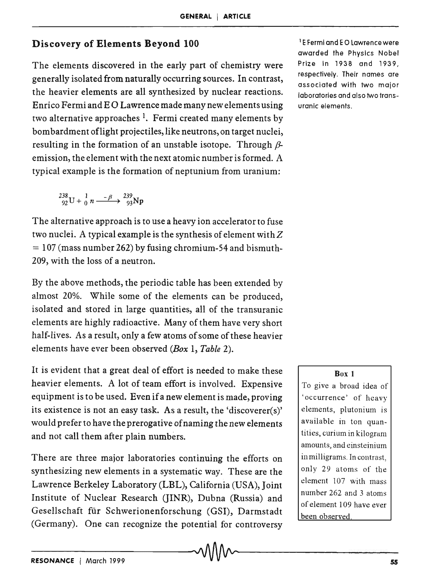### Discovery of Elements Beyond 100

The elements discovered in the early part of chemistry were generally isolated from naturally occurring sources. In contrast, the heavier elements are all synthesized by nuclear reactions. Enrico Fermi and E 0 Lawrence made many new elements using two alternative approaches  $<sup>1</sup>$ . Fermi created many elements by</sup> bombardment oflight projectiles, like neutrons, on target nuclei, resulting in the formation of an unstable isotope. Through  $\beta$ emission, the element with the next atomic number is formed. A typical example is the formation of neptunium from uranium:

$$
{}^{238}_{92}\text{U} + {}^{1}_{0}n \xrightarrow{-\beta} {}^{239}_{93}\text{Np}
$$

The alternative approach is to use a heavy ion accelerator to fuse two nuclei. A typical example is the synthesis of element with  $Z$  $= 107$  (mass number 262) by fusing chromium-54 and bismuth-209, with the loss of a neutron.

By the above methods, the periodic table has been extended by almost 20%. While some of the elements can be produced, isolated and stored in large quantities, all of the transuranic elements are highly radioactive. Many of them have very short half-lives. As a result, only a few atoms of some of these heavier elements have ever been observed *(Box* 1, *Table 2).* 

It is evident that a great deal of effort is needed to make these heavier elements. A lot of team effort is involved. Expensive equipment is to be used. Even if a new element is made, proving its existence is not an easy task. As a result, the 'discoverer(s)' would prefer to have the prerogative of naming the new elements and not call them after plain numbers.

There are three major laboratories continuing the efforts on synthesizing new elements in a systematic way. These are the Lawrence Berkeley Laboratory (LBL), California (USA), Joint Institute of Nuclear Research (JINR), Dubna (Russia) and Gesellschaft fur Schwerionenforschung (GSI), Darmstadt (Germany). One can recognize the potential for controversy

<sup>1</sup>E Fermi and E 0 lawrence were awarded the PhYSICS Nobel Prize in 1938 and 1939, respectively. Their names are associated with two major laboratories and also two transuranic elements.

#### Box 1

To give a broad idea of 'occurrence' of heavy elements, plutonium is available in ton quantities, curium in kilogram amounts, and einsteinium in milligrams. In contrast, only 29 atoms of the element 107 with mass number 262 and 3 atoms of element 109 have ever been observed.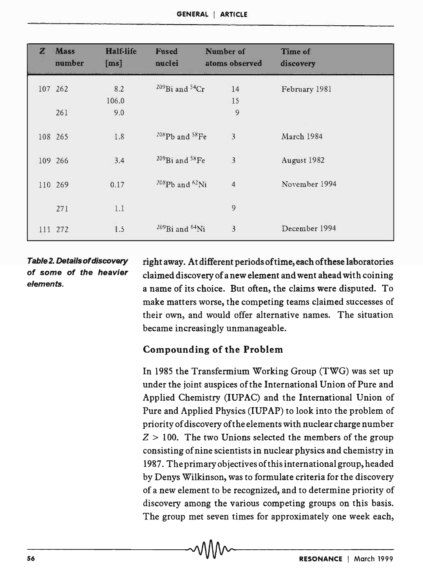| GENERAL   ARTICLE |  |
|-------------------|--|
|-------------------|--|

| $\mathbf{z}$ | <b>Mass</b><br>number | Half-life<br>[ms] | Fused<br>nuclei                        | Number of<br>atoms observed | Time of<br>discovery |
|--------------|-----------------------|-------------------|----------------------------------------|-----------------------------|----------------------|
|              | 107 262               | 8.2               | <sup>209</sup> Bi and <sup>54</sup> Cr | 14                          | February 1981        |
|              |                       | 106.0             |                                        | 15                          |                      |
|              | 261                   | 9.0               |                                        | 9                           |                      |
|              | 108 265               | 1.8               | $^{208}Pb$ and $^{58}Fe$               | $\overline{\mathbf{3}}$     | March 1984           |
|              | 109 266               | 3.4               | <sup>209</sup> Bi and <sup>58</sup> Fe | $\overline{3}$              | August 1982          |
|              | 110 269               | 0.17              | $^{208}Pb$ and $^{62}Ni$               | $\overline{4}$              | November 1994        |
|              | 271                   | 1.1               |                                        | 9                           |                      |
| 111          | 272                   | 1.5               | $^{209}$ Bi and $^{64}$ Ni             | $\overline{3}$              | December 1994        |

### Table 2. Details of discovery of some of the heavier elements.

right away. At different periods of time, each of these laboratories claimed discovery of a new element and went ahead with coining a name of its choice. But often, the claims were disputed. To make matters worse, the competing teams claimed successes of their own, and would offer alternative names. The situation became increasingly unmanageable.

#### Compounding of the Problem

In 1985 the Transfermium Working Group (TWG) was set up under the joint auspices of the International Union of Pure and Applied Chemistry (IUPAC) and the International Union of Pure and Applied Physics (IUPAP) to look into the problem of priority of discovery of the elements with nuclear charge number  $Z > 100$ . The two Unions selected the members of the group consisting of nine scientists in nuclear physics and chemistry in 1987. The primary objectives of this international group, headed by Denys Wilkinson, was to formulate criteria for the discovery of a new element to be recognized, and to determine priority of discovery among the various competing groups on this basis. The group met seven times for approximately one week each,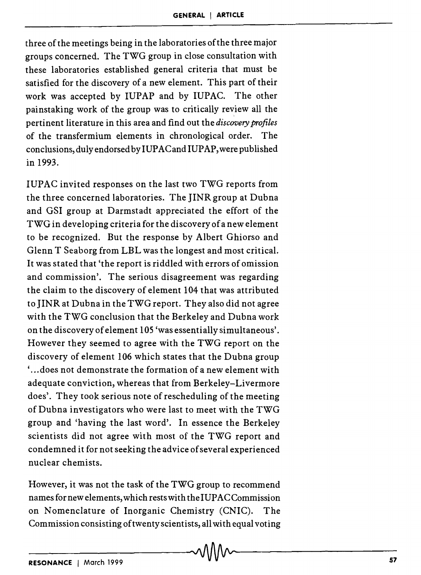three of the meetings being in the laboratories of the three major groups concerned. The TWG group in close consultation with these laboratories established general criteria that must be satisfied for the discovery of a new element. This part of their work was accepted by IUPAP and by IUPAC. The other painstaking work of the group was to critically review all the pertinent literature in this area and find out the *discovery profiles*  of the transfermium elements in chronological order. The conclusions, duly endorsed by IUPAC and IUPAP, were published in 1993.

IUPAC invited responses on the last two TWG reports from the three concerned laboratories. The JINR group at Dubna and GSI group at Darmstadt appreciated the effort of the TWG in developing criteria for the discovery of a new element to be recognized. But the response by Albert Ghiorso and Glenn T Seaborg from LBL was the longest and most critical. It was stated that 'the report is riddled with errors of omission and commission'. The serious disagreement was regarding the claim to the discovery of element 104 that was attributed to JINR at Dubna in the TWG report. They also did not agree with the TWG conclusion that the Berkeley and Dubna work on the discovery of element 105 'was essentially simultaneous'. However they seemed to agree with the TWG report on the discovery of element 106 which states that the Dubna group ' ... does not demonstrate the formation of a new element with adequate conviction, whereas that from Berkeley-Livermore does'. They took serious note of rescheduling of the meeting of Dubna investigators who were last to meet with the TWG group and 'having the last word'. In essence the Berkeley scientists did not agree with most of the TWG report and condemned it for not seeking the advice of several experienced nuclear chemists.

However, it was not the task of the TWG group to recommend names for new elements, which rests with the IUPAC Commission on Nomenclature of Inorganic Chemistry (CNIC). The Commission consisting of twenty scientists, all with equal voting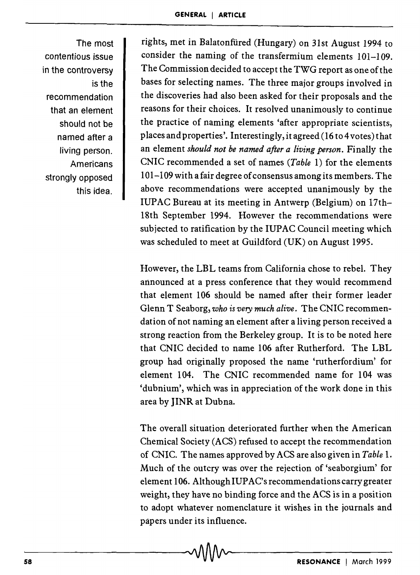The most contentious issue in the controversy is the recommendation that an element should not be named after a living person. Americans strongly opposed this idea.

rights, met in Balatonfiired (Hungary) on 31st August 1994 to consider the naming of the transfermium elements 101-109. The Commission decided to accept the TWG report as one of the bases for selecting names. The three major groups involved in the discoveries had also been asked for their proposals and the reasons for their choices. It resolved unanimously to continue the practice of naming elements 'after appropriate scientists, places andproperties'. Interestingly, it agreed (16 to 4votes) that an element *should not be named after a living person.* Finally the CNIC recommended a set of names *(Table* 1) for the elements 101-109 with a fair degree of consensus among its mem bers. The above recommendations were accepted unanimously by the IUPAC Bureau at its meeting in Antwerp (Belgium) on 17th-18th September 1994. However the recommendations were subjected to ratification by the IUPAC Council meeting which was scheduled to meet at Guildford (UK) on August 1995.

However, the LBL teams from California chose to rebel. They announced at a press conference that they would recommend that element 106 should be named after their former leader Glenn T Seaborg, *who is very much alive.* The CNIC recommendation of not naming an element after a living person received a strong reaction from the Berkeley group. It is to be noted here that CNIC decided to name 106 after Rutherford. The LBL group had originally proposed the name 'rutherfordium' for element 104. The CNIC recommended name for 104 was 'dubnium', which was in appreciation of the work done in this area by JINR at Dubna.

The overall situation deteriorated further when the American Chemical Society (ACS) refused to accept the recommendation of CNIC. The names approved by ACS are also given in *Table* 1. Much of the outcry was over the rejection of 'seaborgium' for element 106. Although IUPAC's recommendations carry greater weight, they have no binding force and the ACS is in a position to adopt whatever nomenclature it wishes in the journals and papers under its influence.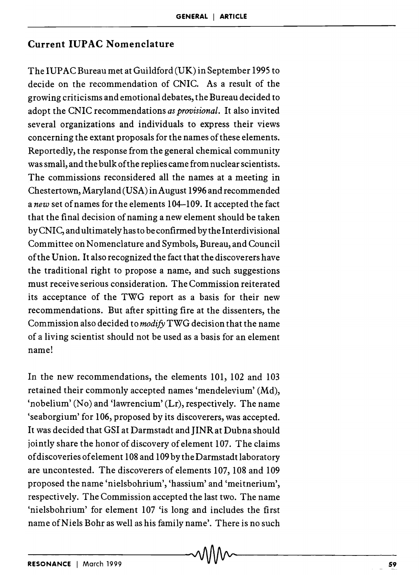#### Current IUP AC Nomenclature

The IUP AC Bureau met at Guildford (UK) in September 1995 to decide on the recommendation of CNIC. As a result of the growing criticisms and emotional debates, the Bureau decided to adopt the CNIC recommendations *as provisional.* It also invited several organizations and individuals to express their views concerning the extant proposals for the names of these elements. Reportedly, the response from the general chemical community was small, and the bulk of the replies came from nuclear scientists. The commissions reconsidered all the names at a meeting in Chestertown, Maryland (USA) in August 1996 and recommended a *new* set of names for the elements 104-109. It accepted the fact that the final decision of naming a new element should be taken byCNIC, and ultimately has to be confirmed by the Interdivisional Committee on Nomenclature and Symbols, Bureau, and Council of the Union. It also recognized the fact that the discoverers have the traditional right to propose a name, and such suggestions must receive serious consideration. The Commission reiterated its acceptance of the TWG report as a basis for their new recommendations. But after spitting fire at the dissenters, the Commission also decided to *modify* TWG decision that the name of a living scientist should not be used as a basis for an element name!

In the new recommendations, the elements 101, 102 and 103 retained their commonly accepted names 'mendelevium' (Md), 'nobelium' (No) and 'lawrencium' (Lr), respectively. The name 'seaborgium' for 106, proposed by its discoverers, was accepted. It was decided that GSI at Darmstadt and JINR at Dubna should jointly share the honor of discovery of element 107. The claims of discoveries of element 108 and 109 by the Darmstadt laboratory are uncontested. The discoverers of elements 107, 108 and 109 proposed the name 'nielsbohrium', 'hassium' and 'meitnerium', respectively. The Commission accepted the last two. The name 'nielsbohrium' for element 107 'is long and includes the first name of Niels Bohr as well as his family name'. There is no such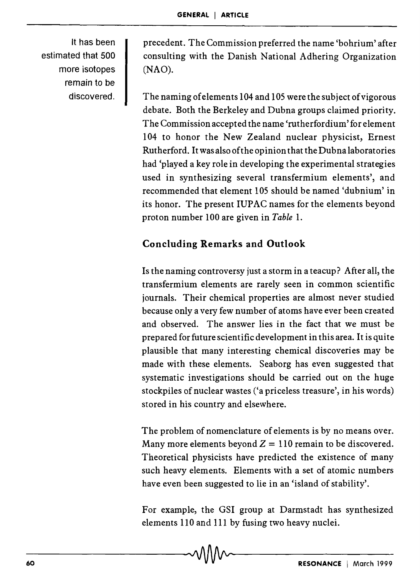It has been estimated that 500 more isotopes remain to be discovered.

precedent. The Commission preferred the name 'bohrium' after consulting with the Danish National Adhering Organization (NAO).

The naming of elements 104 and 105 were the subject of vigorous debate. Both the Berkeley and Dubna groups claimed priority. The Commission accepted the name 'rutherfordium' for element 104 to honor the New Zealand nuclear physicist, Ernest Rutherford. It was also of the opinion that the Dubna laboratories had 'played a key role in developing the experimental strategies used in synthesizing several transfermium elements', and recommended that element 105 should be named 'dubnium' in its honor. The present IUPAC names for the elements beyond proton number 100 are given in *Table* 1.

## Concluding Remarks and Outlook

Is the naming controversy just a storm in a teacup? After all, the transfermium elements are rarely seen in common scientific journals. Their chemical properties are almost never studied because only a very few number of atoms have ever been created and observed. The answer lies in the fact that we must be prepared for future scientific development in this area. It is quite plausible that many interesting chemical discoveries may be made with these elements. Seaborg has even suggested that systematic investigations should be carried out on the huge stockpiles of nuclear wastes ('a priceless treasure', in his words) stored in his country and elsewhere.

The problem of nomenclature of elements is by no means over. Many more elements beyond  $Z = 110$  remain to be discovered. Theoretical physicists have predicted the existence of many such heavy elements. Elements with a set of atomic numbers have even been suggested to lie in an 'island of stability'.

For example, the GSI group at Darmstadt has synthesized elements 110 and 111 by fusing two heavy nuclei.